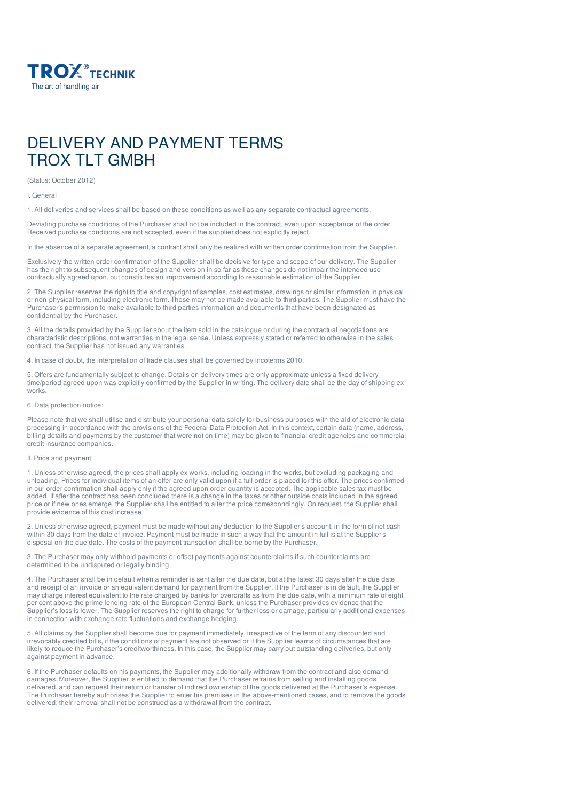

# DELIVERY AND PAYMENT TERMS TROX TI T GMBH

(Status: October 2012)

I. General

1. All deliveries and services shall be based on these conditions as well as any separate contractual agreements.

Deviating purchase conditions of the Purchaser shall not be included in the contract, even upon acceptance of the order. Received purchase conditions are not accepted, even if the supplier does not explicitly reject.

In the absence of a separate agreement, a contract shall only be realized with written order confirmation from the Supplier.

Exclusively the written order confirmation of the Supplier shall be decisive for type and scope of our delivery. The Supplier has the right to subsequent changes of design and version in so far as these changes do not impair the intended use contractually agreed upon, but constitutes an improvement according to reasonable estimation of the Supplier.

2. The Supplier reserves the right to title and copyright of samples, cost estimates, drawings or similar information in physical or non-physical form, including electronic form. These may not be made available to third parties. The Supplier must have the Purchaser's permission to make available to third parties information and documents that have been designated as confidential by the Purchaser.

3. All the details provided by the Supplier about the item sold in the catalogue or during the contractual negotiations are characteristic descriptions, not warranties in the legal sense. Unless expressly stated or referred to otherwise in the sales contract, the Supplier has not issued any warranties.

4. In case of doubt, the interpretation of trade clauses shall be governed by Incoterms 2010.

5. Offers are fundamentally subject to change. Details on delivery times are only approximate unless a fixed delivery time/period agreed upon was explicitly confirmed by the Supplier in writing. The delivery date shall be the day of shipping ex works.

# 6. Data protection notice:

Please note that we shall utilise and distribute your personal data solely for business purposes with the aid of electronic data processing in accordance with the provisions of the Federal Data Protection Act. In this context, certain data (name, address, billing details and payments by the customer that were not on time) may be given to financial credit agencies and commercial credit insurance companies.

# Il. Price and payment

1. Unless otherwise agreed, the prices shall apply ex works, including loading in the works, but excluding packaging and unloading. Prices for individual items of an offer are only valid upon if a full order is placed for this offer. The prices confirmed in our order confirmation shall apply only if the agreed upon order quantity is accepted. The applicable sales tax must be added. If after the contract has been concluded there is a change in the taxes or other outside costs included in the agreed price or if new ones emerge, the Supplier shall be entitled to alter the price correspondingly. On request, the Supplier shall provide evidence of this cost increase.

2. Unless otherwise agreed, payment must be made without any deduction to the Supplier's account, in the form of net cash within 30 days from the date of invoice. Payment must be made in such a way that the amount in full is at the Supplier's disposal on the due date. The costs of the payment transaction shall be borne by the Purchaser.

3. The Purchaser may only withhold payments or offset payments against counterclaims if such counterclaims are determined to be undisputed or legally binding.

4. The Purchaser shall be in default when a reminder is sent after the due date, but at the latest 30 days after the due date and receipt of an invoice or an equivalent demand for payment from the Supplier. If the Purchaser is in default, the Supplier may charge interest equivalent to the rate charged by banks for overdrafts as from the due date, with a minimum rate of eight per cent above the prime lending rate of the European Central Bank, unless the Purchaser provides evidence that the Supplier's loss is lower. The Supplier reserves the right to charge for further loss or damage, particularly additional expenses in connection with exchange rate fluctuations and exchange hedging.

5. All claims by the Supplier shall become due for payment immediately, irrespective of the term of any discounted and irrevocably credited bills, if the conditions of payment are not observed or if the Supplier learns of circumstances that are likely to reduce the Purchaser's creditworthiness. In this case, the Supplier may carry out outstanding deliveries, but only against payment in advance.

6. If the Purchaser defaults on his payments, the Supplier may additionally withdraw from the contract and also demand damages. Moreover, the Supplier is entitled to demand that the Purchaser refrains from selling and installing goods delivered, and can request their return or transfer of indirect ownership of the goods delivered at the Purchaser's expense. The Purchaser hereby authorises the Supplier to enter his premises in the above-mentioned cases, and to remove the goods delivered; their removal shall not be construed as a withdrawal from the contract.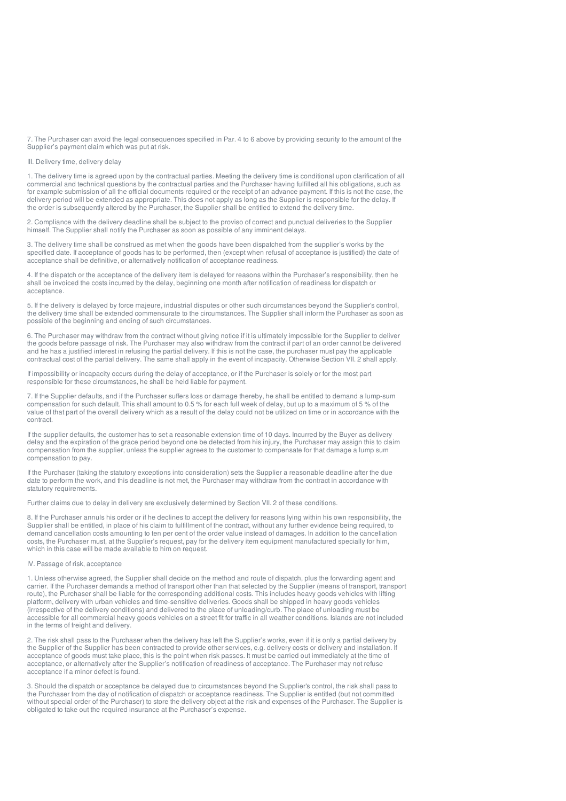7. The Purchaser can avoid the legal consequences specified in Par. 4 to 6 above by providing security to the amount of the Supplier's payment claim which was put at risk.

# III. Delivery time, delivery delay

1. The delivery time is agreed upon by the contractual parties. Meeting the delivery time is conditional upon clarification of all commercial and technical questions by the contractual parties and the Purchaser having fulfilled all his obligations, such as for example submission of all the official documents required or the receipt of an advance payment. If this is not the case, the delivery period will be extended as appropriate. This does not apply as long as the Supplier is responsible for the delay. If the order is subsequently altered by the Purchaser, the Supplier shall be entitled to extend the delivery time.

2. Compliance with the delivery deadline shall be subject to the proviso of correct and punctual deliveries to the Supplier himself. The Supplier shall notify the Purchaser as soon as possible of any imminent delays.

3. The delivery time shall be construed as met when the goods have been dispatched from the supplier's works by the specified date. If acceptance of goods has to be performed, then (except when refusal of acceptance is justified) the date of acceptance shall be definitive, or alternatively notification of acceptance readiness.

4. If the dispatch or the acceptance of the delivery item is delayed for reasons within the Purchaser's responsibility, then he shall be invoiced the costs incurred by the delay, beginning one month after notification of readiness for dispatch or acceptance.

5. If the delivery is delayed by force majeure, industrial disputes or other such circumstances beyond the Supplier's control, the delivery time shall be extended commensurate to the circumstances. The Supplier shall inform the Purchaser as soon as possible of the beginning and ending of such circumstances.

6. The Purchaser may withdraw from the contract without giving notice if it is ultimately impossible for the Supplier to deliver the goods before passage of risk. The Purchaser may also withdraw from the contract if part of an order cannot be delivered and he has a justified interest in refusing the partial delivery. If this is not the case, the purchaser must pay the applicable contractual cost of the partial delivery. The same shall apply in the event of incapacity. Otherwise Section VII. 2 shall apply.

If impossibility or incapacity occurs during the delay of acceptance, or if the Purchaser is solely or for the most part responsible for these circumstances, he shall be held liable for payment.

7. If the Supplier defaults, and if the Purchaser suffers loss or damage thereby, he shall be entitled to demand a lump-sum compensation for such default. This shall amount to 0.5 % for each full week of delay, but up to a maximum of 5 % of the value of that part of the overall delivery which as a result of the delay could not be utilized on time or in accordance with the contract.

If the supplier defaults, the customer has to set a reasonable extension time of 10 days. Incurred by the Buyer as delivery delay and the expiration of the grace period beyond one be detected from his injury, the Purchaser may assign this to claim compensation from the supplier, unless the supplier agrees to the customer to compensate for that damage a lump sum compensation to pay.

If the Purchaser (taking the statutory exceptions into consideration) sets the Supplier a reasonable deadline after the due date to perform the work, and this deadline is not met, the Purchaser may withdraw from the contract in accordance with statutory requirements.

Further claims due to delay in delivery are exclusively determined by Section VII. 2 of these conditions.

8. If the Purchaser annuls his order or if he declines to accept the delivery for reasons lying within his own responsibility, the Supplier shall be entitled, in place of his claim to fulfillment of the contract, without any further evidence being required, to demand cancellation costs amounting to ten per cent of the order value instead of damages. In addition to the cancellation costs, the Purchaser must, at the Supplier's request, pay for the delivery item equipment manufactured specially for him, which in this case will be made available to him on request.

# IV. Passage of risk, acceptance

1. Unless otherwise agreed, the Supplier shall decide on the method and route of dispatch, plus the forwarding agent and carrier. If the Purchaser demands a method of transport other than that selected by the Supplier (means of transport, transport route), the Purchaser shall be liable for the corresponding additional costs. This includes heavy goods vehicles with lifting platform, delivery with urban vehicles and time-sensitive deliveries. Goods shall be shipped in heavy goods vehicles (irrespective of the delivery conditions) and delivered to the place of unloading/curb. The place of unloading must be accessible for all commercial heavy goods vehicles on a street fit for traffic in all weather conditions. Islands are not included in the terms of freight and delivery.

2. The risk shall pass to the Purchaser when the delivery has left the Supplier's works, even if it is only a partial delivery by the Supplier of the Supplier has been contracted to provide other services, e.g. delivery costs or delivery and installation. If acceptance of goods must take place, this is the point when risk passes. It must be carried out immediately at the time of acceptance, or alternatively after the Supplier's notification of readiness of acceptance. The Purchaser may not refuse acceptance if a minor defect is found.

3. Should the dispatch or acceptance be delayed due to circumstances beyond the Supplier's control, the risk shall pass to the Purchaser from the day of notification of dispatch or acceptance readiness. The Supplier is entitled (but not committed without special order of the Purchaser) to store the delivery object at the risk and expenses of the Purchaser. The Supplier is obligated to take out the required insurance at the Purchaser's expense.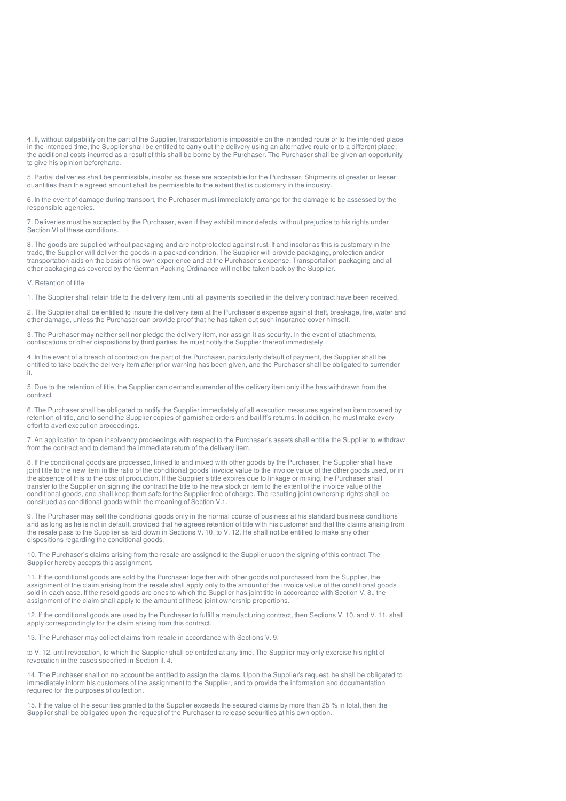4. If, without culpability on the part of the Supplier, transportation is impossible on the intended route or to the intended place in the intended time, the Supplier shall be entitled to carry out the delivery using an alternative route or to a different place; the additional costs incurred as a result of this shall be borne by the Purchaser. The Purchaser shall be given an opportunity to give his opinion beforehand.

5. Partial deliveries shall be permissible, insofar as these are acceptable for the Purchaser. Shipments of greater or lesser quantities than the agreed amount shall be permissible to the extent that is customary in the industry.

6. In the event of damage during transport, the Purchaser must immediately arrange for the damage to be assessed by the responsible agencies.

7. Deliveries must be accepted by the Purchaser, even if they exhibit minor defects, without prejudice to his rights under Section VI of these conditions.

8. The goods are supplied without packaging and are not protected against rust. If and insofar as this is customary in the trade, the Supplier will deliver the goods in a packed condition. The Supplier will provide packaging, protection and/or transportation aids on the basis of his own experience and at the Purchaser's expense. Transportation packaging and all other packaging as covered by the German Packing Ordinance will not be taken back by the Supplier.

V. Retention of title

1. The Supplier shall retain title to the delivery item until all payments specified in the delivery contract have been received.

2. The Supplier shall be entitled to insure the delivery item at the Purchaser's expense against theft, breakage, fire, water and other damage, unless the Purchaser can provide proof that he has taken out such insurance cover himself.

3. The Purchaser may neither sell nor pledge the delivery item, nor assign it as security. In the event of attachments, confiscations or other dispositions by third parties, he must notify the Supplier thereof immediately.

4. In the event of a breach of contract on the part of the Purchaser, particularly default of payment, the Supplier shall be entitled to take back the delivery item after prior warning has been given, and the Purchaser shall be obligated to surrender it.

5. Due to the retention of title, the Supplier can demand surrender of the delivery item only if he has withdrawn from the contract.

6. The Purchaser shall be obligated to notify the Supplier immediately of all execution measures against an item covered by retention of title, and to send the Supplier copies of garnishee orders and bailiff's returns. In addition, he must make every effort to avert execution proceedings.

7. An application to open insolvency proceedings with respect to the Purchaser's assets shall entitle the Supplier to withdraw from the contract and to demand the immediate return of the delivery item.

8. If the conditional goods are processed, linked to and mixed with other goods by the Purchaser, the Supplier shall have joint title to the new item in the ratio of the conditional goods' invoice value to the invoice value of the other goods used, or in the absence of this to the cost of production. If the Supplier's title expires due to linkage or mixing, the Purchaser shall transfer to the Supplier on signing the contract the title to the new stock or item to the extent of the invoice value of the conditional goods, and shall keep them safe for the Supplier free of charge. The resulting joint ownership rights shall be construed as conditional goods within the meaning of Section V.1.

9. The Purchaser may sell the conditional goods only in the normal course of business at his standard business conditions and as long as he is not in default, provided that he agrees retention of title with his customer and that the claims arising from the resale pass to the Supplier as laid down in Sections V. 10. to V. 12. He shall not be entitled to make any other dispositions regarding the conditional goods.

10. The Purchaser's claims arising from the resale are assigned to the Supplier upon the signing of this contract. The Supplier hereby accepts this assignment.

11. If the conditional goods are sold by the Purchaser together with other goods not purchased from the Supplier, the assignment of the claim arising from the resale shall apply only to the amount of the invoice value of the conditional goods sold in each case. If the resold goods are ones to which the Supplier has joint title in accordance with Section V. 8., the assignment of the claim shall apply to the amount of these joint ownership proportions.

12. If the conditional goods are used by the Purchaser to fulfill a manufacturing contract, then Sections V. 10. and V. 11. shall apply correspondingly for the claim arising from this contract.

13. The Purchaser may collect claims from resale in accordance with Sections V. 9.

to V. 12. until revocation, to which the Supplier shall be entitled at any time. The Supplier may only exercise his right of revocation in the cases specified in Section II. 4.

14. The Purchaser shall on no account be entitled to assign the claims. Upon the Supplier's request, he shall be obligated to immediately inform his customers of the assignment to the Supplier, and to provide the information and documentation required for the purposes of collection.

15. If the value of the securities granted to the Supplier exceeds the secured claims by more than 25 % in total, then the Supplier shall be obligated upon the request of the Purchaser to release securities at his own option.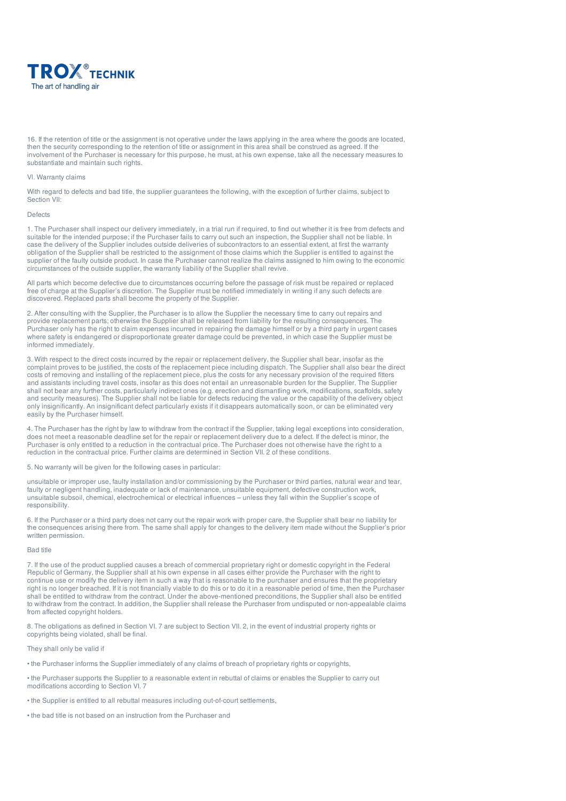

16. If the retention of title or the assignment is not operative under the laws applying in the area where the goods are located, then the security corresponding to the retention of title or assignment in this area shall be construed as agreed. If the involvement of the Purchaser is necessary for this purpose, he must, at his own expense, take all the necessary measures to substantiate and maintain such rights.

#### Vl. Warranty claims

With regard to defects and bad title, the supplier guarantees the following, with the exception of further claims, subject to Section VII:

#### Defects

1. The Purchaser shall inspect our delivery immediately, in a trial run if required, to find out whether it is free from defects and suitable for the intended purpose; if the Purchaser fails to carry out such an inspection, the Supplier shall not be liable. In case the delivery of the Supplier includes outside deliveries of subcontractors to an essential extent, at first the warranty obligation of the Supplier shall be restricted to the assignment of those claims which the Supplier is entitled to against the supplier of the faulty outside product. In case the Purchaser cannot realize the claims assigned to him owing to the economic circumstances of the outside supplier, the warranty liability of the Supplier shall revive.

All parts which become defective due to circumstances occurring before the passage of risk must be repaired or replaced free of charge at the Supplier's discretion. The Supplier must be notified immediately in writing if any such defects are discovered. Replaced parts shall become the property of the Supplier.

2. After consulting with the Supplier, the Purchaser is to allow the Supplier the necessary time to carry out repairs and provide replacement parts; otherwise the Supplier shall be released from liability for the resulting consequences. The Purchaser only has the right to claim expenses incurred in repairing the damage himself or by a third party in urgent cases where safety is endangered or disproportionate greater damage could be prevented, in which case the Supplier must be informed immediately.

3. With respect to the direct costs incurred by the repair or replacement delivery, the Supplier shall bear, insofar as the complaint proves to be justified, the costs of the replacement piece including dispatch. The Supplier shall also bear the direct costs of removing and installing of the replacement piece, plus the costs for any necessary provision of the required fitters and assistants including travel costs, insofar as this does not entail an unreasonable burden for the Supplier. The Supplier shall not bear any further costs, particularly indirect ones (e.g. erection and dismantling work, modifications, scaffolds, safety and security measures). The Supplier shall not be liable for defects reducing the value or the capability of the delivery object only insignificantly. An insignificant defect particularly exists if it disappears automatically soon, or can be eliminated very easily by the Purchaser himself.

4. The Purchaser has the right by law to withdraw from the contract if the Supplier, taking legal exceptions into consideration, does not meet a reasonable deadline set for the repair or replacement delivery due to a defect. If the defect is minor, the Purchaser is only entitled to a reduction in the contractual price. The Purchaser does not otherwise have the right to a reduction in the contractual price. Further claims are determined in Section VII. 2 of these conditions.

5. No warranty will be given for the following cases in particular:

unsuitable or improper use, faulty installation and/or commissioning by the Purchaser or third parties, natural wear and tear, faulty or negligent handling, inadequate or lack of maintenance, unsuitable equipment, defective construction work, unsuitable subsoil, chemical, electrochemical or electrical influences – unless they fall within the Supplier's scope of responsibility.

6. If the Purchaser or a third party does not carry out the repair work with proper care, the Supplier shall bear no liability for the consequences arising there from. The same shall apply for changes to the delivery item made without the Supplier's prior written permission.

# Bad title

7. If the use of the product supplied causes a breach of commercial proprietary right or domestic copyright in the Federal Republic of Germany, the Supplier shall at his own expense in all cases either provide the Purchaser with the right to continue use or modify the delivery item in such a way that is reasonable to the purchaser and ensures that the proprietary right is no longer breached. If it is not financially viable to do this or to do it in a reasonable period of time, then the Purchaser shall be entitled to withdraw from the contract. Under the above-mentioned preconditions, the Supplier shall also be entitled to withdraw from the contract. In addition, the Supplier shall release the Purchaser from undisputed or non-appealable claims from affected copyright holders.

8. The obligations as defined in Section VI. 7 are subject to Section VII. 2, in the event of industrial property rights or copyrights being violated, shall be final.

They shall only be valid if

• the Purchaser informs the Supplier immediately of any claims of breach of proprietary rights or copyrights,

• the Purchaser supports the Supplier to a reasonable extent in rebuttal of claims or enables the Supplier to carry out modifications according to Section VI. 7

• the Supplier is entitled to all rebuttal measures including out-of-court settlements,

• the bad title is not based on an instruction from the Purchaser and